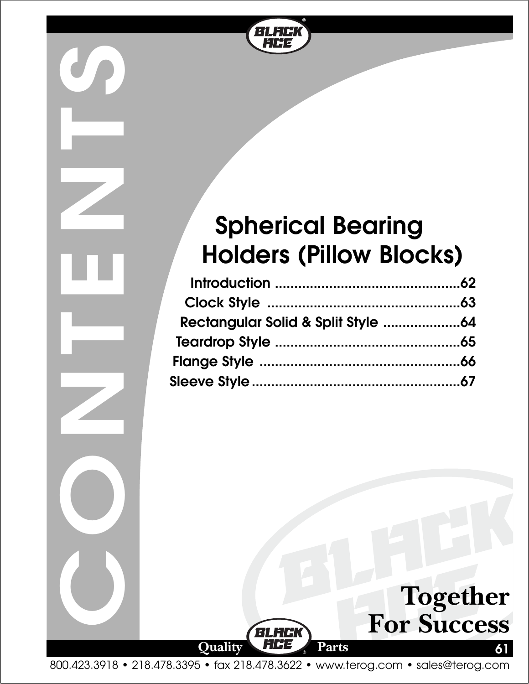

# **Spherical Bearing Holders (Pillow Blocks)**

**CONTENTS** 



800.423.3918 • 218.478.3395 • fax 218.478.3622 • www.terog.com • sales@terog.com

**61**

**Together**

**For Success**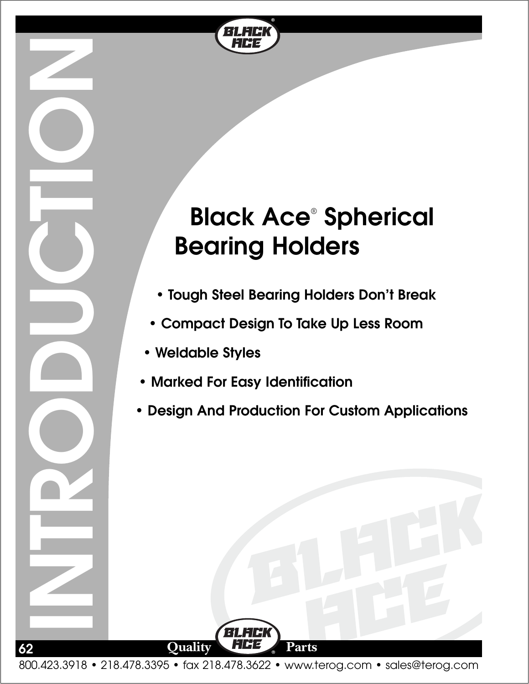

# **Black Ace**® **Spherical Bearing Holders**

- **Tough Steel Bearing Holders Don't Break**
- **Compact Design To Take Up Less Room**
- **Weldable Styles**

**INTRODUCTION**

**62**

- **Marked For Easy Identification**
- **Design And Production For Custom Applications**

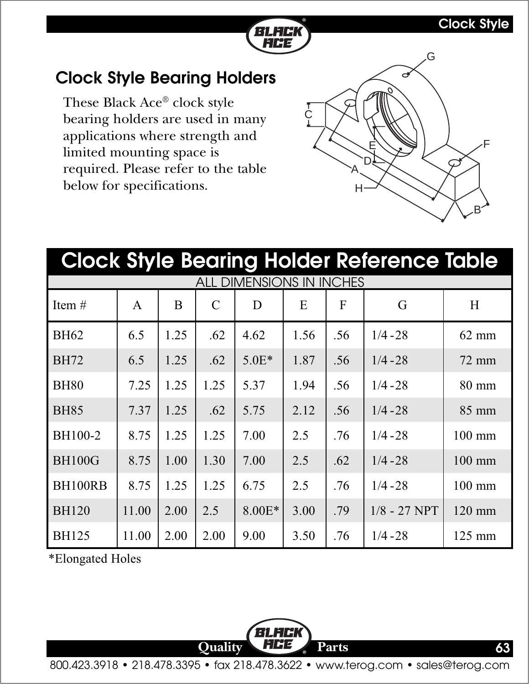#### **Clock Style**



### **Clock Style Bearing Holders**

These Black Ace® clock style bearing holders are used in many applications where strength and limited mounting space is required. Please refer to the table below for specifications.



| <b>Clock Style Bearing Holder Reference Table</b> |       |      |               |         |      |     |                |                  |  |  |  |
|---------------------------------------------------|-------|------|---------------|---------|------|-----|----------------|------------------|--|--|--|
| <b>ALL DIMENSIONS IN INCHES</b>                   |       |      |               |         |      |     |                |                  |  |  |  |
| Item $#$                                          | A     | B    | $\mathcal{C}$ | D       | E    | F   | G              | H                |  |  |  |
| <b>BH62</b>                                       | 6.5   | 1.25 | .62           | 4.62    | 1.56 | .56 | $1/4 - 28$     | $62 \text{ mm}$  |  |  |  |
| <b>BH72</b>                                       | 6.5   | 1.25 | .62           | $5.0E*$ | 1.87 | .56 | $1/4 - 28$     | $72 \text{ mm}$  |  |  |  |
| <b>BH80</b>                                       | 7.25  | 1.25 | 1.25          | 5.37    | 1.94 | .56 | $1/4 - 28$     | $80 \text{ mm}$  |  |  |  |
| <b>BH85</b>                                       | 7.37  | 1.25 | .62           | 5.75    | 2.12 | .56 | $1/4 - 28$     | 85 mm            |  |  |  |
| BH100-2                                           | 8.75  | 1.25 | 1.25          | 7.00    | 2.5  | .76 | $1/4 - 28$     | $100$ mm         |  |  |  |
| <b>BH100G</b>                                     | 8.75  | 1.00 | 1.30          | 7.00    | 2.5  | .62 | $1/4 - 28$     | $100$ mm         |  |  |  |
| BH100RB                                           | 8.75  | 1.25 | 1.25          | 6.75    | 2.5  | .76 | $1/4 - 28$     | $100 \text{ mm}$ |  |  |  |
| <b>BH120</b>                                      | 11.00 | 2.00 | 2.5           | 8.00E*  | 3.00 | .79 | $1/8 - 27$ NPT | $120$ mm         |  |  |  |
| <b>BH125</b>                                      | 11.00 | 2.00 | 2.00          | 9.00    | 3.50 | .76 | $1/4 - 28$     | 125 mm           |  |  |  |

\*Elongated Holes

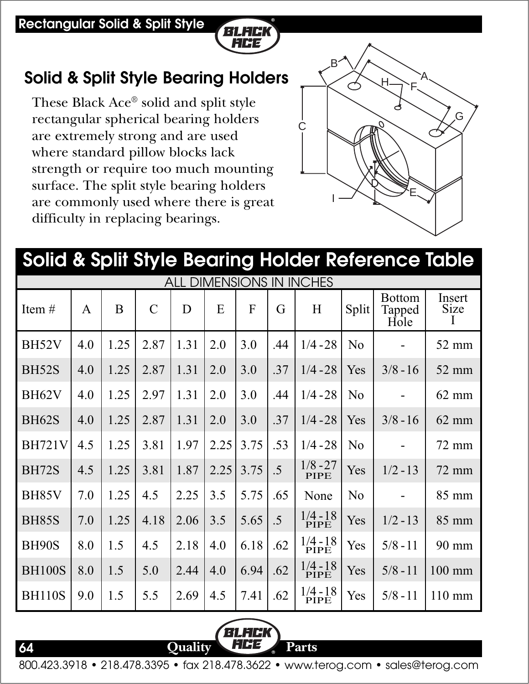#### **Rectangular Solid & Split Style**



## **Solid & Split Style Bearing Holders**

These Black Ace® solid and split style rectangular spherical bearing holders are extremely strong and are used where standard pillow blocks lack strength or require too much mounting surface. The split style bearing holders are commonly used where there is great difficulty in replacing bearings.



#### BH52V 4.0 1.25 2.87 1.31 2.0 3.0 .44 1/4 - 28 No - 52 mm BH52S | 4.0 | 1.25 | 2.87 | 1.31 | 2.0 | 3.0 | .37 | 1/4 - 28 | Yes | 3/8 - 16 | 52 mm BH62V 4.0 1.25 2.97 1.31 2.0 3.0 .44 1/4 - 28 No - 62 mm BH62S | 4.0 | 1.25 | 2.87 | 1.31 | 2.0 | 3.0 | .37 | 1/4 - 28 | Yes | 3/8 - 16 | 62 mm BH721V 4.5 1.25 3.81 1.97 2.25 3.75 .53 1/4 - 28 No - 72 mm BH72S | 4.5 | 1.25 | 3.81 | 1.87 | 2.25 | 3.75 | .5 |  $\frac{1}{10}$  PIPE | Yes | 1/2 - 13 | 72 mm BH85V 7.0 1.25 4.5 2.25 3.5 5.75 .65 No - 85 mm BH85S 7.0 1.25 4.18 2.06 3.5 5.65 .5 Yes 1/2 - 13 85 mm BH90S 8.0 1.5 4.5 2.18 4.0 6.18 .62 Yes 5/8 - 11 90 mm BH100S  $\mid 8.0 \mid 1.5 \mid 5.0 \mid 2.44 \mid 4.0 \mid 6.94 \mid .62 \mid \frac{1/4 - 18}{\text{PIPE}} \mid \text{Yes} \mid 5/8 - 11 \mid 100 \text{ mm}$ BH110S | 9.0 | 1.5 | 5.5 | 2.69 | 4.5 | 7.41 | .62 |  $\frac{1/4}{\text{PIDE}}$  | Yes | 5/8 - 11 | 110 mm  $1/8 - 27$ PIPE<sup></sup> None  $1/4 - 18$ PIPE  $1/4 - 18$ PIPE 1/4 - 18 PIPE 1/4 - 18 PIPE Item  $\#$  A B C D E F G H Split Bottom Tapped Hole Insert Size I **Solid & Split Style Bearing Holder Reference Table** ALL DIMENSIONS IN INCHES

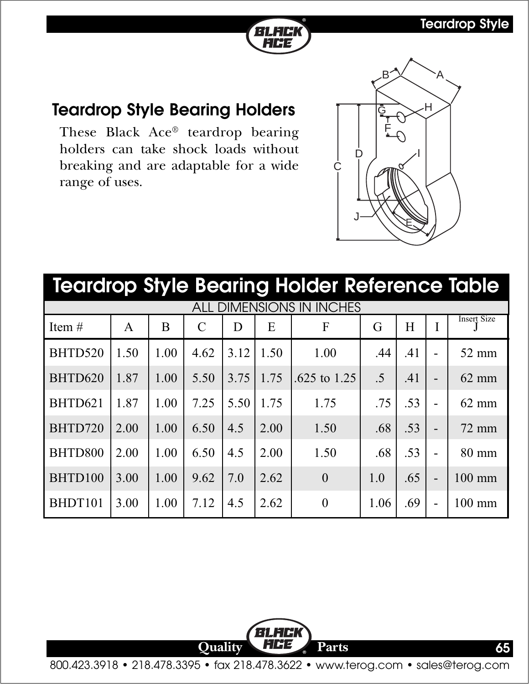

#### **Teardrop Style Bearing Holders**

These Black Ace® teardrop bearing holders can take shock loads without breaking and are adaptable for a wide range of uses.



| <b>Teardrop Style Bearing Holder Reference Table</b> |      |      |               |                   |      |                |                 |     |                          |                    |  |
|------------------------------------------------------|------|------|---------------|-------------------|------|----------------|-----------------|-----|--------------------------|--------------------|--|
| <b>ALL DIMENSIONS IN INCHES</b>                      |      |      |               |                   |      |                |                 |     |                          |                    |  |
| Item $#$                                             | A    | B    | $\mathcal{C}$ | D                 | E    | F              | G               | H   |                          | <b>Insert Size</b> |  |
| BHTD520                                              | 1.50 | 1.00 | 4.62          | 3.12              | 1.50 | 1.00           | .44             | .41 |                          | 52 mm              |  |
| BHTD620                                              | 1.87 | 1.00 | 5.50          | 3.75              | 1.75 | .625 to $1.25$ | $\overline{.5}$ | .41 | $\overline{\phantom{0}}$ | $62$ mm            |  |
| BHTD621                                              | 1.87 | 1.00 | 7.25          | 5.50 <sup>1</sup> | 1.75 | 1.75           | .75             | .53 |                          | $62$ mm            |  |
| BHTD720                                              | 2.00 | 1.00 | 6.50          | 4.5               | 2.00 | 1.50           | .68             | .53 |                          | $72$ mm            |  |
| BHTD800                                              | 2.00 | 1.00 | 6.50          | 4.5               | 2.00 | 1.50           | .68             | .53 |                          | 80 mm              |  |
| BHTD100                                              | 3.00 | 1.00 | 9.62          | 7.0               | 2.62 | $\theta$       | 1.0             | .65 |                          | $100$ mm           |  |
| BHDT101                                              | 3.00 | 1.00 | 7.12          | 4.5               | 2.62 | $\theta$       | 1.06            | .69 |                          | $100$ mm           |  |

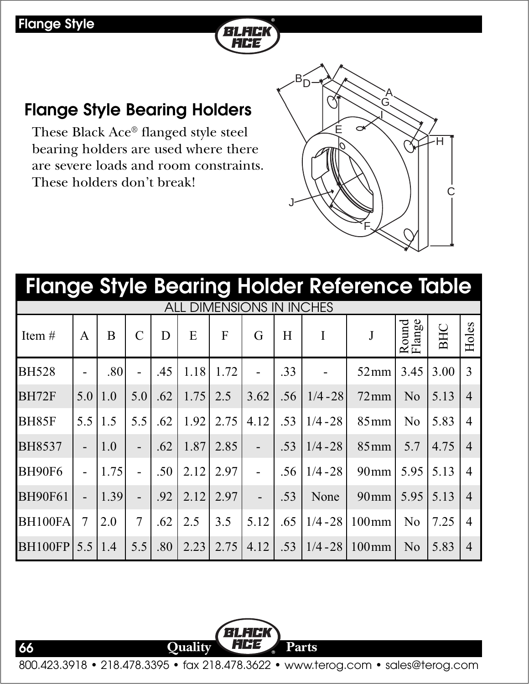

### **Flange Style Bearing Holders**

These Black Ace® flanged style steel bearing holders are used where there are severe loads and room constraints. These holders don't break!



| <b>Flange Style Bearing Holder Reference Table</b> |                |                   |                          |     |      |              |      |     |            |                     |                 |      |                |
|----------------------------------------------------|----------------|-------------------|--------------------------|-----|------|--------------|------|-----|------------|---------------------|-----------------|------|----------------|
| <b>DIMENSIONS</b><br><b>INCHES</b><br>IN           |                |                   |                          |     |      |              |      |     |            |                     |                 |      |                |
| Item $#$                                           | A              | B                 | $\mathcal{C}$            | D   | E    | $\mathbf{F}$ | G    | H   | I          |                     | Round<br>Flange | BHC  | Holes          |
| <b>BH528</b>                                       |                | .80               |                          | .45 | 1.18 | 1.72         |      | .33 |            | $52 \,\mathrm{mm}$  | 3.45            | 3.00 | 3              |
| BH72F                                              | 5.0            | 1.0               | 5.0                      | .62 | 1.75 | 2.5          | 3.62 | .56 | $1/4 - 28$ | $72 \,\mathrm{mm}$  | N <sub>o</sub>  | 5.13 | $\overline{4}$ |
| <b>BH85F</b>                                       | 5.5            | 1.5               | 5.5                      | .62 | 1.92 | 2.75         | 4.12 | .53 | $1/4 - 28$ | $85 \,\mathrm{mm}$  | No              | 5.83 | $\overline{4}$ |
| <b>BH8537</b>                                      |                | $\vert 1.0 \vert$ |                          | .62 | 1.87 | 2.85         |      | .53 | $1/4 - 28$ | $85 \,\mathrm{mm}$  | 5.7             | 4.75 | $\overline{4}$ |
| <b>BH90F6</b>                                      |                | 1.75              |                          | .50 | 2.12 | 2.97         |      | .56 | $1/4 - 28$ | $90$ mm             | 5.95            | 5.13 | $\overline{4}$ |
| <b>BH90F61</b>                                     |                | 1.39              | $\overline{\phantom{0}}$ | .92 | 2.12 | 2.97         |      | .53 | None       | $90$ mm             | 5.95            | 5.13 | $\overline{4}$ |
| BH100FA                                            | $\overline{7}$ | 2.0               | $\overline{7}$           | .62 | 2.5  | 3.5          | 5.12 | .65 | $1/4 - 28$ | $100 \,\mathrm{mm}$ | N <sub>o</sub>  | 7.25 | $\overline{4}$ |
| <b>BH100FP</b>                                     | 5.5            | 1.4               | 5.5                      | .80 | 2.23 | 2.75         | 4.12 | .53 | $1/4 - 28$ | $100 \,\mathrm{mm}$ | N <sub>0</sub>  | 5.83 | $\overline{4}$ |